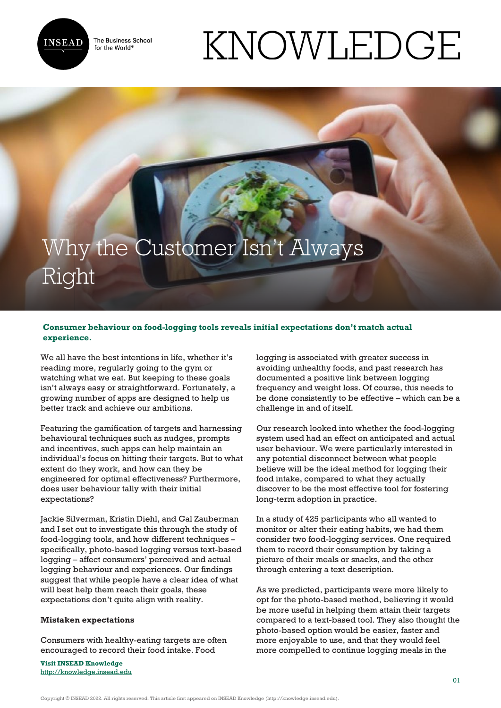

The Business School for the World<sup>®</sup>

# KNOWLEDGE

# Why the Customer Isn't Always Right

# **Consumer behaviour on food-logging tools reveals initial expectations don't match actual experience.**

We all have the best intentions in life, whether it's reading more, regularly going to the gym or watching what we eat. But keeping to these goals isn't always easy or straightforward. Fortunately, a growing number of apps are designed to help us better track and achieve our ambitions.

Featuring the gamification of targets and harnessing behavioural techniques such as nudges, prompts and incentives, such apps can help maintain an individual's focus on hitting their targets. But to what extent do they work, and how can they be engineered for optimal effectiveness? Furthermore, does user behaviour tally with their initial expectations?

Jackie Silverman, Kristin Diehl, and Gal Zauberman and I set out to investigate this through the study of food-logging tools, and how different techniques – specifically, photo-based logging versus text-based logging – affect consumers' perceived and actual logging behaviour and experiences. Our findings suggest that while people have a clear idea of what will best help them reach their goals, these expectations don't quite align with reality.

## **Mistaken expectations**

Consumers with healthy-eating targets are often encouraged to record their food intake. Food

**Visit INSEAD Knowledge** <http://knowledge.insead.edu> logging is associated with greater success in avoiding unhealthy foods, and past research has documented a positive link between logging frequency and weight loss. Of course, this needs to be done consistently to be effective – which can be a challenge in and of itself.

Our research looked into whether the food-logging system used had an effect on anticipated and actual user behaviour. We were particularly interested in any potential disconnect between what people believe will be the ideal method for logging their food intake, compared to what they actually discover to be the most effective tool for fostering long-term adoption in practice.

In a study of 425 participants who all wanted to monitor or alter their eating habits, we had them consider two food-logging services. One required them to record their consumption by taking a picture of their meals or snacks, and the other through entering a text description.

As we predicted, participants were more likely to opt for the photo-based method, believing it would be more useful in helping them attain their targets compared to a text-based tool. They also thought the photo-based option would be easier, faster and more enjoyable to use, and that they would feel more compelled to continue logging meals in the

Copyright © INSEAD 2022. All rights reserved. This article first appeared on INSEAD Knowledge (http://knowledge.insead.edu).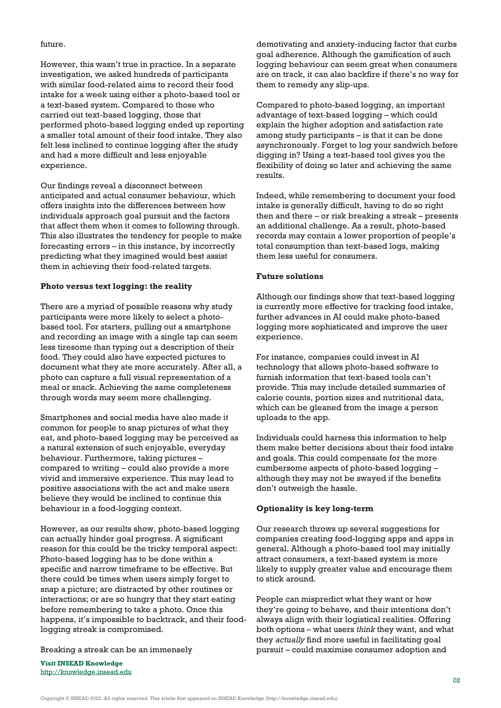#### future.

However, this wasn't true in practice. In a separate investigation, we asked hundreds of participants with similar food-related aims to record their food intake for a week using either a photo-based tool or a text-based system. Compared to those who carried out text-based logging, those that performed photo-based logging ended up reporting a smaller total amount of their food intake. They also felt less inclined to continue logging after the study and had a more difficult and less enjoyable experience.

Our findings reveal a disconnect between anticipated and actual consumer behaviour, which offers insights into the differences between how individuals approach goal pursuit and the factors that affect them when it comes to following through. This also illustrates the tendency for people to make forecasting errors – in this instance, by incorrectly predicting what they imagined would best assist them in achieving their food-related targets.

# **Photo versus text logging: the reality**

There are a myriad of possible reasons why study participants were more likely to select a photobased tool. For starters, pulling out a smartphone and recording an image with a single tap can seem less tiresome than typing out a description of their food. They could also have expected pictures to document what they ate more accurately. After all, a photo can capture a full visual representation of a meal or snack. Achieving the same completeness through words may seem more challenging.

Smartphones and social media have also made it common for people to snap pictures of what they eat, and photo-based logging may be perceived as a natural extension of such enjoyable, everyday behaviour. Furthermore, taking pictures – compared to writing – could also provide a more vivid and immersive experience. This may lead to positive associations with the act and make users believe they would be inclined to continue this behaviour in a food-logging context.

However, as our results show, photo-based logging can actually hinder goal progress. A significant reason for this could be the tricky temporal aspect: Photo-based logging has to be done within a specific and narrow timeframe to be effective. But there could be times when users simply forget to snap a picture; are distracted by other routines or interactions; or are so hungry that they start eating before remembering to take a photo. Once this happens, it's impossible to backtrack, and their foodlogging streak is compromised.

Breaking a streak can be an immensely

**Visit INSEAD Knowledge** <http://knowledge.insead.edu>

demotivating and anxiety-inducing factor that curbs goal adherence. Although the gamification of such logging behaviour can seem great when consumers are on track, it can also backfire if there's no way for them to remedy any slip-ups.

Compared to photo-based logging, an important advantage of text-based logging – which could explain the higher adoption and satisfaction rate among study participants – is that it can be done asynchronously. Forget to log your sandwich before digging in? Using a text-based tool gives you the flexibility of doing so later and achieving the same results.

Indeed, while remembering to document your food intake is generally difficult, having to do so right then and there – or risk breaking a streak – presents an additional challenge. As a result, photo-based records may contain a lower proportion of people's total consumption than text-based logs, making them less useful for consumers.

## **Future solutions**

Although our findings show that text-based logging is currently more effective for tracking food intake, further advances in AI could make photo-based logging more sophisticated and improve the user experience.

For instance, companies could invest in AI technology that allows photo-based software to furnish information that text-based tools can't provide. This may include detailed summaries of calorie counts, portion sizes and nutritional data, which can be gleaned from the image a person uploads to the app.

Individuals could harness this information to help them make better decisions about their food intake and goals. This could compensate for the more cumbersome aspects of photo-based logging – although they may not be swayed if the benefits don't outweigh the hassle.

#### **Optionality is key long-term**

Our research throws up several suggestions for companies creating food-logging apps and apps in general. Although a photo-based tool may initially attract consumers, a text-based system is more likely to supply greater value and encourage them to stick around.

People can mispredict what they want or how they're going to behave, and their intentions don't always align with their logistical realities. Offering both options – what users *think* they want, and what they *actually* find more useful in facilitating goal pursuit – could maximise consumer adoption and

Copyright © INSEAD 2022. All rights reserved. This article first appeared on INSEAD Knowledge (http://knowledge.insead.edu).